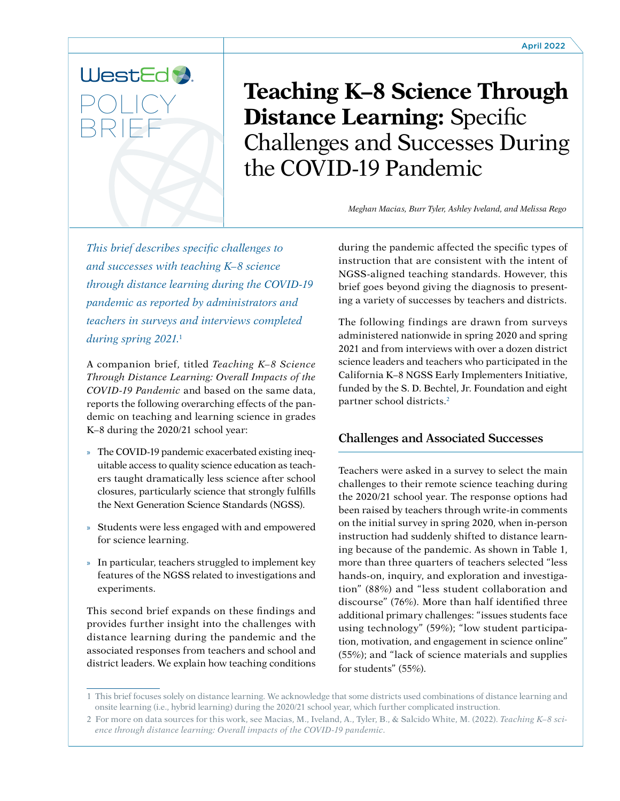

**Teaching K–8 Science Through Distance Learning:** Specific Challenges and Successes During the COVID-19 Pandemic

*Meghan Macias, Burr Tyler, Ashley Iveland, and Melissa Rego*

*This brief describes specific challenges to and successes with teaching K–8 science through distance learning during the COVID-19 pandemic as reported by administrators and teachers in surveys and interviews completed during spring 2021.*<sup>1</sup>

A companion brief, titled *Teaching K–8 Science Through Distance Learning: Overall Impacts of the COVID-19 Pandemic* and based on the same data, reports the following overarching effects of the pandemic on teaching and learning science in grades K–8 during the 2020/21 school year:

- » The COVID-19 pandemic exacerbated existing inequitable access to quality science education as teachers taught dramatically less science after school closures, particularly science that strongly fulfills the Next Generation Science Standards (NGSS).
- » Students were less engaged with and empowered for science learning.
- » In particular, teachers struggled to implement key features of the NGSS related to investigations and experiments.

This second brief expands on these findings and provides further insight into the challenges with distance learning during the pandemic and the associated responses from teachers and school and district leaders. We explain how teaching conditions

during the pandemic affected the specific types of instruction that are consistent with the intent of NGSS-aligned teaching standards. However, this brief goes beyond giving the diagnosis to presenting a variety of successes by teachers and districts.

The following findings are drawn from surveys administered nationwide in spring 2020 and spring 2021 and from interviews with over a dozen district science leaders and teachers who participated in the California K–8 NGSS Early Implementers Initiative, funded by the S. D. Bechtel, Jr. Foundation and eight partner school districts.<sup>2</sup>

# **Challenges and Associated Successes**

Teachers were asked in a survey to select the main challenges to their remote science teaching during the 2020/21 school year. The response options had been raised by teachers through write-in comments on the initial survey in spring 2020, when in-person instruction had suddenly shifted to distance learning because of the pandemic. As shown in Table 1, more than three quarters of teachers selected "less hands-on, inquiry, and exploration and investigation" (88%) and "less student collaboration and discourse" (76%). More than half identified three additional primary challenges: "issues students face using technology" (59%); "low student participation, motivation, and engagement in science online" (55%); and "lack of science materials and supplies for students" (55%).

<sup>1</sup> This brief focuses solely on distance learning. We acknowledge that some districts used combinations of distance learning and onsite learning (i.e., hybrid learning) during the 2020/21 school year, which further complicated instruction.

<sup>2</sup> For more on data sources for this work, see Macias, M., Iveland, A., Tyler, B., & Salcido White, M. (2022). *Teaching K–8 science through distance learning: Overall impacts of the COVID-19 pandemic*.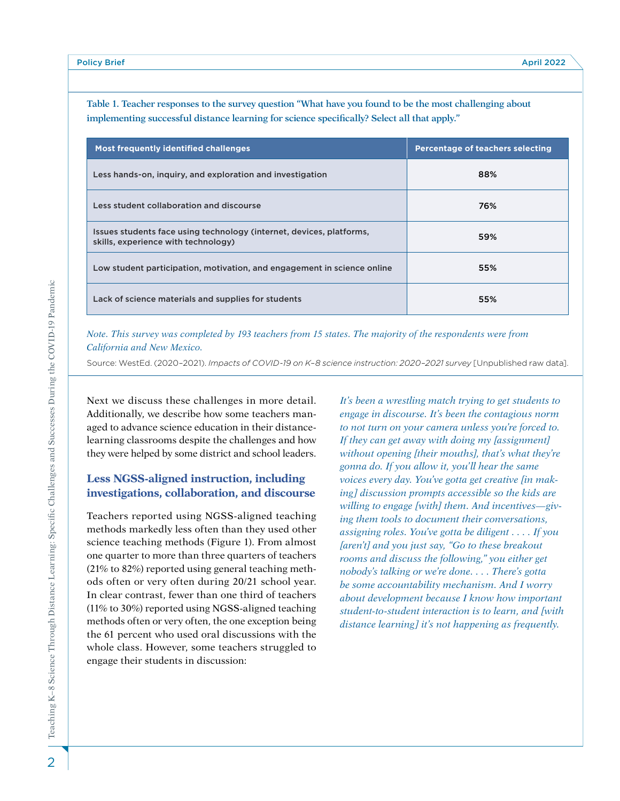| <b>Most frequently identified challenges</b>                                                                | <b>Percentage of teachers selecting</b> |
|-------------------------------------------------------------------------------------------------------------|-----------------------------------------|
| Less hands-on, inquiry, and exploration and investigation                                                   | 88%                                     |
| Less student collaboration and discourse                                                                    | 76%                                     |
| Issues students face using technology (internet, devices, platforms,<br>skills, experience with technology) | 59%                                     |
| Low student participation, motivation, and engagement in science online                                     | 55%                                     |
| Lack of science materials and supplies for students                                                         | 55%                                     |

**Table 1. Teacher responses to the survey question "What have you found to be the most challenging about implementing successful distance learning for science specifically? Select all that apply."**

#### *Note. This survey was completed by 193 teachers from 15 states. The majority of the respondents were from California and New Mexico.*

Source: WestEd. (2020–2021). *Impacts of COVID-19 on K–8 science instruction: 2020–2021 survey* [Unpublished raw data].

Next we discuss these challenges in more detail. Additionally, we describe how some teachers managed to advance science education in their distancelearning classrooms despite the challenges and how they were helped by some district and school leaders.

## **Less NGSS-aligned instruction, including investigations, collaboration, and discourse**

Teachers reported using NGSS-aligned teaching methods markedly less often than they used other science teaching methods (Figure 1). From almost one quarter to more than three quarters of teachers (21% to 82%) reported using general teaching methods often or very often during 20/21 school year. In clear contrast, fewer than one third of teachers (11% to 30%) reported using NGSS-aligned teaching methods often or very often, the one exception being the 61 percent who used oral discussions with the whole class. However, some teachers struggled to engage their students in discussion:

*It's been a wrestling match trying to get students to engage in discourse. It's been the contagious norm to not turn on your camera unless you're forced to. If they can get away with doing my [assignment] without opening [their mouths], that's what they're gonna do. If you allow it, you'll hear the same voices every day. You've gotta get creative [in making] discussion prompts accessible so the kids are willing to engage [with] them. And incentives—giving them tools to document their conversations, assigning roles. You've gotta be diligent . . . . If you [aren't] and you just say, "Go to these breakout rooms and discuss the following," you either get nobody's talking or we're done. . . . There's gotta be some accountability mechanism. And I worry about development because I know how important student-to-student interaction is to learn, and [with distance learning] it's not happening as frequently.*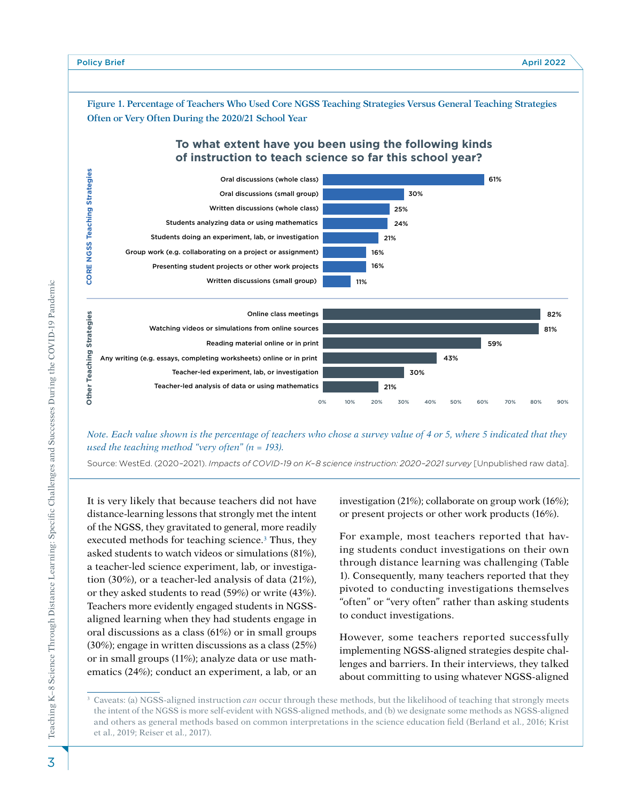

*Note. Each value shown is the percentage of teachers who chose a survey value of 4 or 5, where 5 indicated that they used the teaching method "very often" (n = 193).*

Source: WestEd. (2020–2021). *Impacts of COVID-19 on K–8 science instruction: 2020–2021 survey* [Unpublished raw data].

It is very likely that because teachers did not have distance-learning lessons that strongly met the intent of the NGSS, they gravitated to general, more readily executed methods for teaching science.<sup>3</sup> Thus, they asked students to watch videos or simulations (81%), a teacher-led science experiment, lab, or investigation (30%), or a teacher-led analysis of data (21%), or they asked students to read (59%) or write (43%). Teachers more evidently engaged students in NGSSaligned learning when they had students engage in oral discussions as a class (61%) or in small groups (30%); engage in written discussions as a class (25%) or in small groups (11%); analyze data or use mathematics (24%); conduct an experiment, a lab, or an

investigation (21%); collaborate on group work (16%); or present projects or other work products (16%).

For example, most teachers reported that having students conduct investigations on their own through distance learning was challenging (Table 1). Consequently, many teachers reported that they pivoted to conducting investigations themselves "often" or "very often" rather than asking students to conduct investigations.

However, some teachers reported successfully implementing NGSS-aligned strategies despite challenges and barriers. In their interviews, they talked about committing to using whatever NGSS-aligned

3

Caveats: (a) NGSS-aligned instruction *can* occur through these methods, but the likelihood of teaching that strongly meets the intent of the NGSS is more self-evident with NGSS-aligned methods, and (b) we designate some methods as NGSS-aligned and others as general methods based on common interpretations in the science education field (Berland et al., 2016; Krist et al., 2019; Reiser et al., 2017).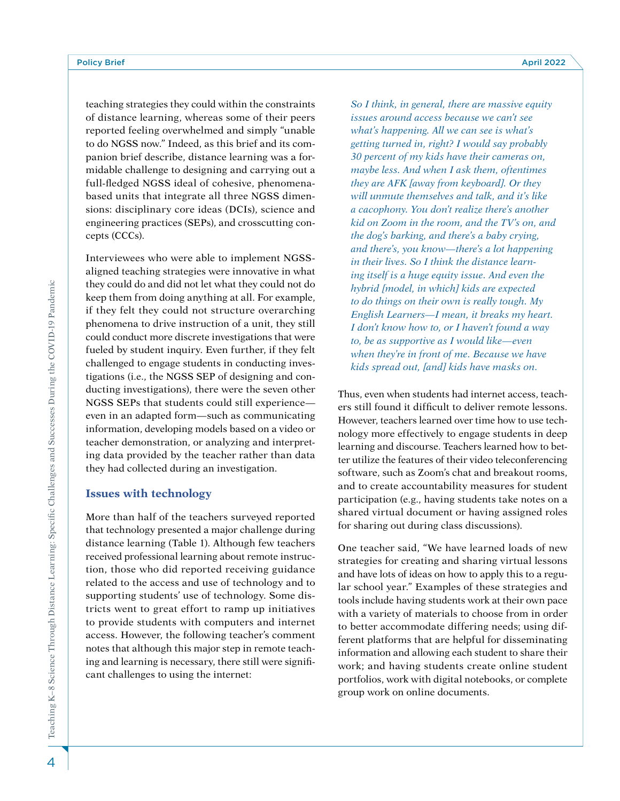teaching strategies they could within the constraints of distance learning, whereas some of their peers reported feeling overwhelmed and simply "unable to do NGSS now." Indeed, as this brief and its companion brief describe, distance learning was a formidable challenge to designing and carrying out a full-fledged NGSS ideal of cohesive, phenomenabased units that integrate all three NGSS dimensions: disciplinary core ideas (DCIs), science and engineering practices (SEPs), and crosscutting concepts (CCCs).

Interviewees who were able to implement NGSSaligned teaching strategies were innovative in what they could do and did not let what they could not do keep them from doing anything at all. For example, if they felt they could not structure overarching phenomena to drive instruction of a unit, they still could conduct more discrete investigations that were fueled by student inquiry. Even further, if they felt challenged to engage students in conducting investigations (i.e., the NGSS SEP of designing and conducting investigations), there were the seven other NGSS SEPs that students could still experience even in an adapted form—such as communicating information, developing models based on a video or teacher demonstration, or analyzing and interpreting data provided by the teacher rather than data they had collected during an investigation.

#### **Issues with technology**

More than half of the teachers surveyed reported that technology presented a major challenge during distance learning (Table 1). Although few teachers received professional learning about remote instruction, those who did reported receiving guidance related to the access and use of technology and to supporting students' use of technology. Some districts went to great effort to ramp up initiatives to provide students with computers and internet access. However, the following teacher's comment notes that although this major step in remote teaching and learning is necessary, there still were significant challenges to using the internet:

*So I think, in general, there are massive equity issues around access because we can't see what's happening. All we can see is what's getting turned in, right? I would say probably 30 percent of my kids have their cameras on, maybe less. And when I ask them, oftentimes they are AFK [away from keyboard]. Or they will unmute themselves and talk, and it's like a cacophony. You don't realize there's another kid on Zoom in the room, and the TV's on, and the dog's barking, and there's a baby crying, and there's, you know—there's a lot happening in their lives. So I think the distance learning itself is a huge equity issue. And even the hybrid [model, in which] kids are expected to do things on their own is really tough. My English Learners—I mean, it breaks my heart. I don't know how to, or I haven't found a way to, be as supportive as I would like—even when they're in front of me. Because we have kids spread out, [and] kids have masks on.*

Thus, even when students had internet access, teachers still found it difficult to deliver remote lessons. However, teachers learned over time how to use technology more effectively to engage students in deep learning and discourse. Teachers learned how to better utilize the features of their video teleconferencing software, such as Zoom's chat and breakout rooms, and to create accountability measures for student participation (e.g., having students take notes on a shared virtual document or having assigned roles for sharing out during class discussions).

One teacher said, "We have learned loads of new strategies for creating and sharing virtual lessons and have lots of ideas on how to apply this to a regular school year." Examples of these strategies and tools include having students work at their own pace with a variety of materials to choose from in order to better accommodate differing needs; using different platforms that are helpful for disseminating information and allowing each student to share their work; and having students create online student portfolios, work with digital notebooks, or complete group work on online documents.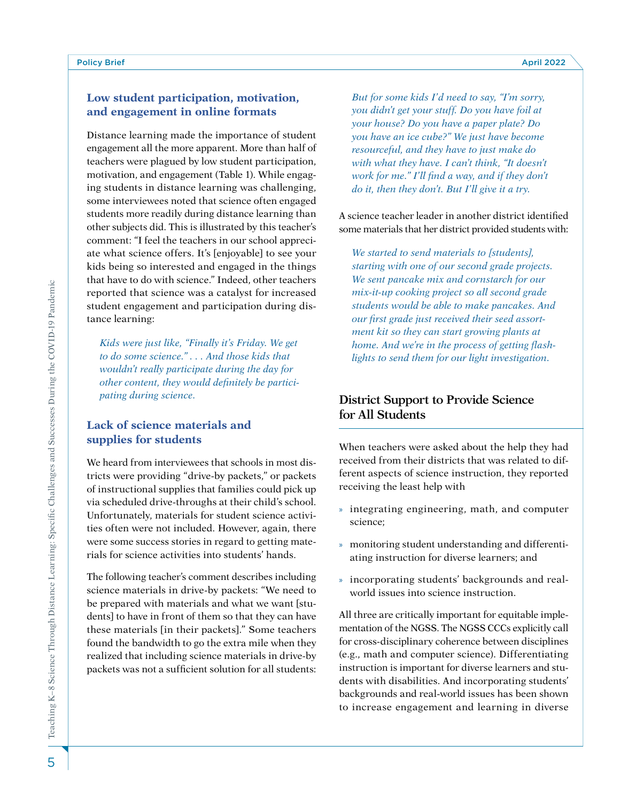## **Low student participation, motivation, and engagement in online formats**

Distance learning made the importance of student engagement all the more apparent. More than half of teachers were plagued by low student participation, motivation, and engagement (Table 1). While engaging students in distance learning was challenging, some interviewees noted that science often engaged students more readily during distance learning than other subjects did. This is illustrated by this teacher's comment: "I feel the teachers in our school appreciate what science offers. It's [enjoyable] to see your kids being so interested and engaged in the things that have to do with science." Indeed, other teachers reported that science was a catalyst for increased student engagement and participation during distance learning:

*Kids were just like, "Finally it's Friday. We get to do some science." . . . And those kids that wouldn't really participate during the day for other content, they would definitely be participating during science.*

## **Lack of science materials and supplies for students**

We heard from interviewees that schools in most districts were providing "drive-by packets," or packets of instructional supplies that families could pick up via scheduled drive-throughs at their child's school. Unfortunately, materials for student science activities often were not included. However, again, there were some success stories in regard to getting materials for science activities into students' hands.

The following teacher's comment describes including science materials in drive-by packets: "We need to be prepared with materials and what we want [students] to have in front of them so that they can have these materials [in their packets]." Some teachers found the bandwidth to go the extra mile when they realized that including science materials in drive-by packets was not a sufficient solution for all students:

*But for some kids I'd need to say, "I'm sorry, you didn't get your stuff. Do you have foil at your house? Do you have a paper plate? Do you have an ice cube?" We just have become resourceful, and they have to just make do with what they have. I can't think, "It doesn't work for me." I'll find a way, and if they don't do it, then they don't. But I'll give it a try.*

A science teacher leader in another district identified some materials that her district provided students with:

*We started to send materials to [students], starting with one of our second grade projects. We sent pancake mix and cornstarch for our mix-it-up cooking project so all second grade students would be able to make pancakes. And our first grade just received their seed assortment kit so they can start growing plants at home. And we're in the process of getting flashlights to send them for our light investigation.*

# **District Support to Provide Science for All Students**

When teachers were asked about the help they had received from their districts that was related to different aspects of science instruction, they reported receiving the least help with

- » integrating engineering, math, and computer science;
- » monitoring student understanding and differentiating instruction for diverse learners; and
- » incorporating students' backgrounds and realworld issues into science instruction.

All three are critically important for equitable implementation of the NGSS. The NGSS CCCs explicitly call for cross-disciplinary coherence between disciplines (e.g., math and computer science). Differentiating instruction is important for diverse learners and students with disabilities. And incorporating students' backgrounds and real-world issues has been shown to increase engagement and learning in diverse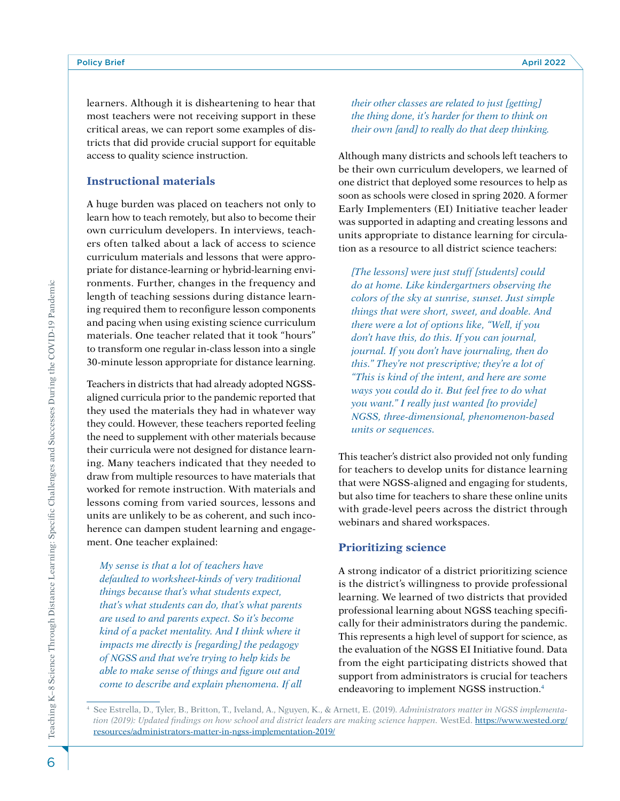learners. Although it is disheartening to hear that most teachers were not receiving support in these critical areas, we can report some examples of districts that did provide crucial support for equitable access to quality science instruction.

### **Instructional materials**

A huge burden was placed on teachers not only to learn how to teach remotely, but also to become their own curriculum developers. In interviews, teachers often talked about a lack of access to science curriculum materials and lessons that were appropriate for distance-learning or hybrid-learning environments. Further, changes in the frequency and length of teaching sessions during distance learning required them to reconfigure lesson components and pacing when using existing science curriculum materials. One teacher related that it took "hours" to transform one regular in-class lesson into a single 30-minute lesson appropriate for distance learning.

Teachers in districts that had already adopted NGSSaligned curricula prior to the pandemic reported that they used the materials they had in whatever way they could. However, these teachers reported feeling the need to supplement with other materials because their curricula were not designed for distance learning. Many teachers indicated that they needed to draw from multiple resources to have materials that worked for remote instruction. With materials and lessons coming from varied sources, lessons and units are unlikely to be as coherent, and such incoherence can dampen student learning and engagement. One teacher explained:

*My sense is that a lot of teachers have defaulted to worksheet-kinds of very traditional things because that's what students expect, that's what students can do, that's what parents are used to and parents expect. So it's become kind of a packet mentality. And I think where it impacts me directly is [regarding] the pedagogy of NGSS and that we're trying to help kids be able to make sense of things and figure out and come to describe and explain phenomena. If all*  *their other classes are related to just [getting] the thing done, it's harder for them to think on their own [and] to really do that deep thinking.*

Although many districts and schools left teachers to be their own curriculum developers, we learned of one district that deployed some resources to help as soon as schools were closed in spring 2020. A former Early Implementers (EI) Initiative teacher leader was supported in adapting and creating lessons and units appropriate to distance learning for circulation as a resource to all district science teachers:

*[The lessons] were just stuff [students] could do at home. Like kindergartners observing the colors of the sky at sunrise, sunset. Just simple things that were short, sweet, and doable. And there were a lot of options like, "Well, if you don't have this, do this. If you can journal, journal. If you don't have journaling, then do this." They're not prescriptive; they're a lot of "This is kind of the intent, and here are some ways you could do it. But feel free to do what you want." I really just wanted [to provide] NGSS, three-dimensional, phenomenon-based units or sequences.*

This teacher's district also provided not only funding for teachers to develop units for distance learning that were NGSS-aligned and engaging for students, but also time for teachers to share these online units with grade-level peers across the district through webinars and shared workspaces.

### **Prioritizing science**

A strong indicator of a district prioritizing science is the district's willingness to provide professional learning. We learned of two districts that provided professional learning about NGSS teaching specifically for their administrators during the pandemic. This represents a high level of support for science, as the evaluation of the NGSS EI Initiative found. Data from the eight participating districts showed that support from administrators is crucial for teachers endeavoring to implement NGSS instruction.4

<sup>4</sup> See Estrella, D., Tyler, B., Britton, T., Iveland, A., Nguyen, K., & Arnett, E. (2019). *Administrators matter in NGSS implementation (2019): Updated findings on how school and district leaders are making science happen.* WestEd. [https://www.wested.org/](https://www.wested.org/resources/administrators-matter-in-ngss-implementation-2019/) [resources/administrators-matter-in-ngss-implementation-2019/](https://www.wested.org/resources/administrators-matter-in-ngss-implementation-2019/)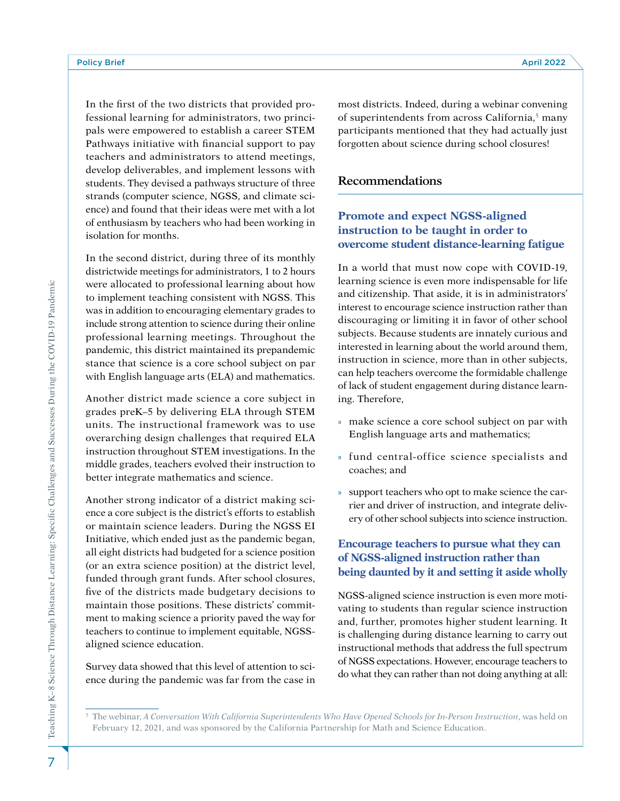In the first of the two districts that provided professional learning for administrators, two principals were empowered to establish a career STEM Pathways initiative with financial support to pay teachers and administrators to attend meetings, develop deliverables, and implement lessons with students. They devised a pathways structure of three strands (computer science, NGSS, and climate science) and found that their ideas were met with a lot of enthusiasm by teachers who had been working in isolation for months.

In the second district, during three of its monthly districtwide meetings for administrators, 1 to 2 hours were allocated to professional learning about how to implement teaching consistent with NGSS. This was in addition to encouraging elementary grades to include strong attention to science during their online professional learning meetings. Throughout the pandemic, this district maintained its prepandemic stance that science is a core school subject on par with English language arts (ELA) and mathematics.

Another district made science a core subject in grades preK–5 by delivering ELA through STEM units. The instructional framework was to use overarching design challenges that required ELA instruction throughout STEM investigations. In the middle grades, teachers evolved their instruction to better integrate mathematics and science.

Another strong indicator of a district making science a core subject is the district's efforts to establish or maintain science leaders. During the NGSS EI Initiative, which ended just as the pandemic began, all eight districts had budgeted for a science position (or an extra science position) at the district level, funded through grant funds. After school closures, five of the districts made budgetary decisions to maintain those positions. These districts' commitment to making science a priority paved the way for teachers to continue to implement equitable, NGSSaligned science education.

Survey data showed that this level of attention to science during the pandemic was far from the case in most districts. Indeed, during a webinar convening of superintendents from across California,<sup>5</sup> many participants mentioned that they had actually just forgotten about science during school closures!

## **Recommendations**

## **Promote and expect NGSS-aligned instruction to be taught in order to overcome student distance-learning fatigue**

In a world that must now cope with COVID-19, learning science is even more indispensable for life and citizenship. That aside, it is in administrators' interest to encourage science instruction rather than discouraging or limiting it in favor of other school subjects. Because students are innately curious and interested in learning about the world around them, instruction in science, more than in other subjects, can help teachers overcome the formidable challenge of lack of student engagement during distance learning. Therefore,

- » make science a core school subject on par with English language arts and mathematics;
- » fund central-office science specialists and coaches; and
- » support teachers who opt to make science the carrier and driver of instruction, and integrate delivery of other school subjects into science instruction.

## **Encourage teachers to pursue what they can of NGSS-aligned instruction rather than being daunted by it and setting it aside wholly**

NGSS-aligned science instruction is even more motivating to students than regular science instruction and, further, promotes higher student learning. It is challenging during distance learning to carry out instructional methods that address the full spectrum of NGSS expectations. However, encourage teachers to do what they can rather than not doing anything at all:

<sup>&</sup>lt;sup>5</sup> The webinar, *A Conversation With California Superintendents Who Have Opened Schools for In-Person Instruction, was held on* February 12, 2021, and was sponsored by the California Partnership for Math and Science Education.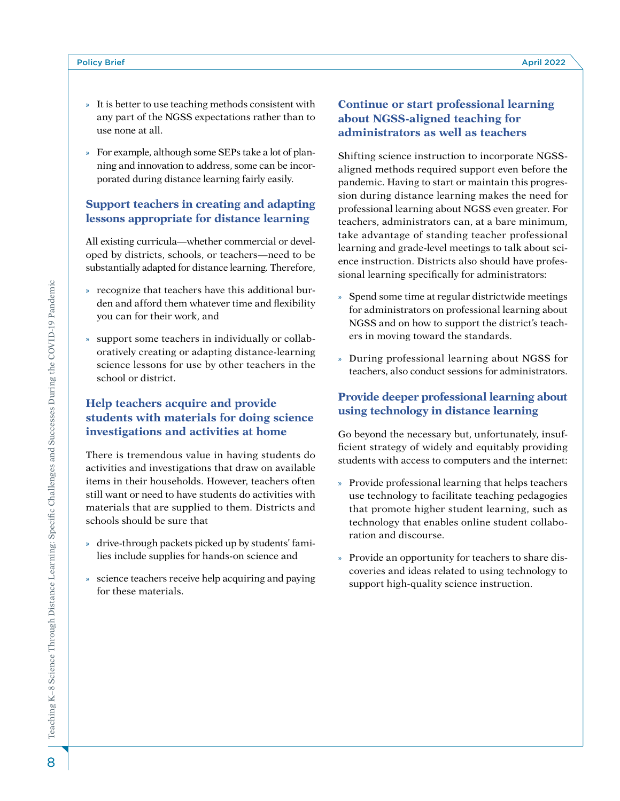- » It is better to use teaching methods consistent with any part of the NGSS expectations rather than to use none at all.
- » For example, although some SEPs take a lot of planning and innovation to address, some can be incorporated during distance learning fairly easily.

# **Support teachers in creating and adapting lessons appropriate for distance learning**

All existing curricula—whether commercial or developed by districts, schools, or teachers—need to be substantially adapted for distance learning. Therefore,

- » recognize that teachers have this additional burden and afford them whatever time and flexibility you can for their work, and
- » support some teachers in individually or collaboratively creating or adapting distance-learning science lessons for use by other teachers in the school or district.

# **Help teachers acquire and provide students with materials for doing science investigations and activities at home**

There is tremendous value in having students do activities and investigations that draw on available items in their households. However, teachers often still want or need to have students do activities with materials that are supplied to them. Districts and schools should be sure that

- » drive-through packets picked up by students' families include supplies for hands-on science and
- » science teachers receive help acquiring and paying for these materials.

# **Continue or start professional learning about NGSS-aligned teaching for administrators as well as teachers**

Shifting science instruction to incorporate NGSSaligned methods required support even before the pandemic. Having to start or maintain this progression during distance learning makes the need for professional learning about NGSS even greater. For teachers, administrators can, at a bare minimum, take advantage of standing teacher professional learning and grade-level meetings to talk about science instruction. Districts also should have professional learning specifically for administrators:

- » Spend some time at regular districtwide meetings for administrators on professional learning about NGSS and on how to support the district's teachers in moving toward the standards.
- » During professional learning about NGSS for teachers, also conduct sessions for administrators.

# **Provide deeper professional learning about using technology in distance learning**

Go beyond the necessary but, unfortunately, insufficient strategy of widely and equitably providing students with access to computers and the internet:

- » Provide professional learning that helps teachers use technology to facilitate teaching pedagogies that promote higher student learning, such as technology that enables online student collaboration and discourse.
- » Provide an opportunity for teachers to share discoveries and ideas related to using technology to support high-quality science instruction.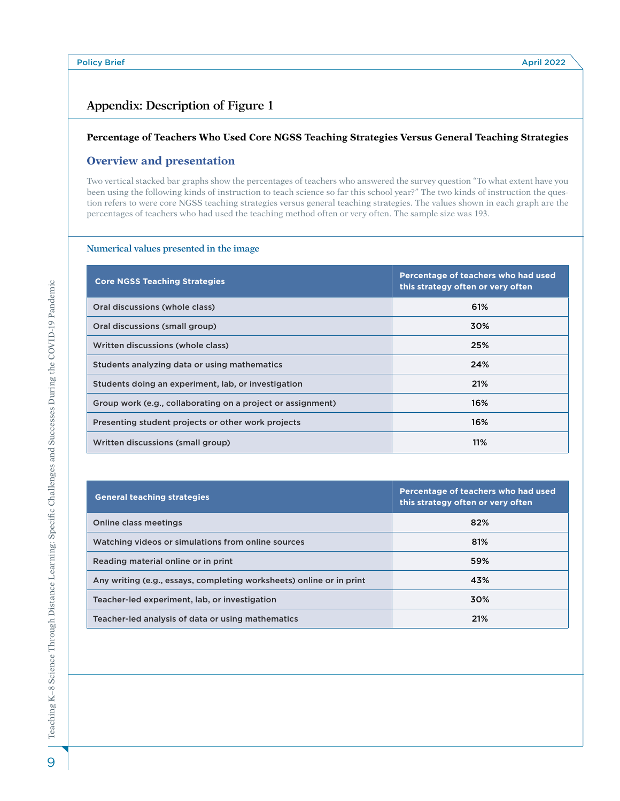# **Appendix: Description of Figure 1**

#### **Percentage of Teachers Who Used Core NGSS Teaching Strategies Versus General Teaching Strategies**

### **Overview and presentation**

Two vertical stacked bar graphs show the percentages of teachers who answered the survey question "To what extent have you been using the following kinds of instruction to teach science so far this school year?" The two kinds of instruction the question refers to were core NGSS teaching strategies versus general teaching strategies. The values shown in each graph are the percentages of teachers who had used the teaching method often or very often. The sample size was 193.

#### **Numerical values presented in the image**

| <b>Core NGSS Teaching Strategies</b>                        | Percentage of teachers who had used<br>this strategy often or very often |
|-------------------------------------------------------------|--------------------------------------------------------------------------|
| Oral discussions (whole class)                              | 61%                                                                      |
| Oral discussions (small group)                              | 30%                                                                      |
| Written discussions (whole class)                           | 25%                                                                      |
| Students analyzing data or using mathematics                | 24%                                                                      |
| Students doing an experiment, lab, or investigation         | 21%                                                                      |
| Group work (e.g., collaborating on a project or assignment) | 16%                                                                      |
| Presenting student projects or other work projects          | 16%                                                                      |
| Written discussions (small group)                           | 11%                                                                      |

| <b>General teaching strategies</b>                                   | Percentage of teachers who had used<br>this strategy often or very often |
|----------------------------------------------------------------------|--------------------------------------------------------------------------|
| Online class meetings                                                | 82%                                                                      |
| Watching videos or simulations from online sources                   | 81%                                                                      |
| Reading material online or in print                                  | 59%                                                                      |
| Any writing (e.g., essays, completing worksheets) online or in print | 43%                                                                      |
| Teacher-led experiment, lab, or investigation                        | 30%                                                                      |
| Teacher-led analysis of data or using mathematics                    | 21%                                                                      |